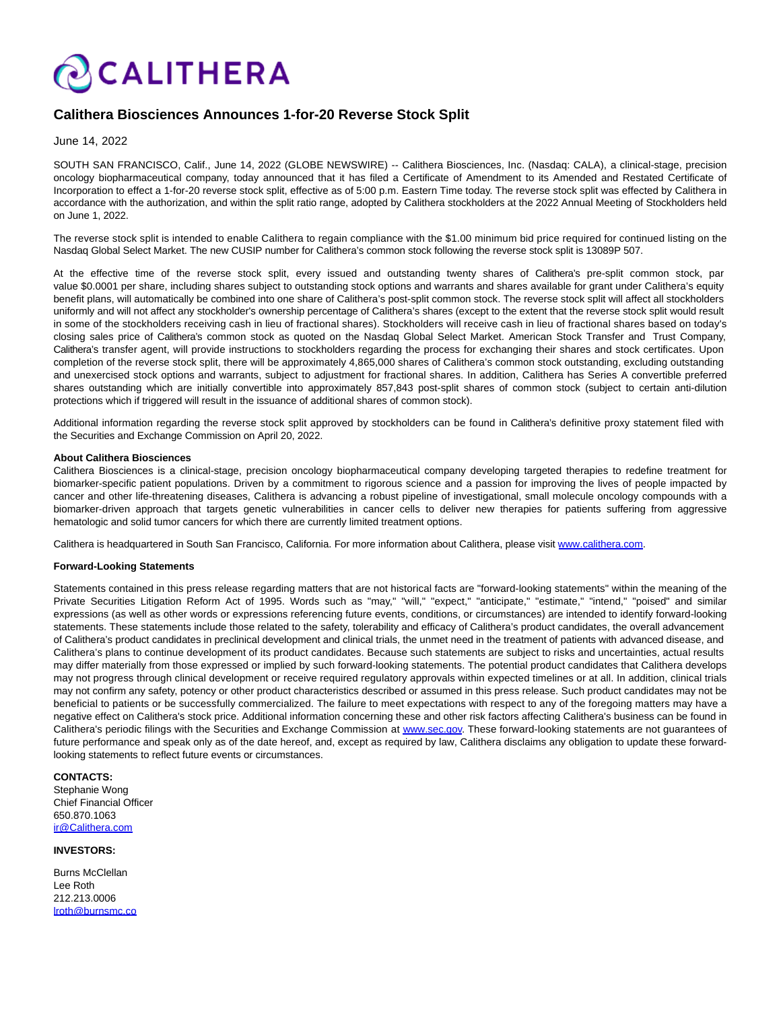

## **Calithera Biosciences Announces 1-for-20 Reverse Stock Split**

June 14, 2022

SOUTH SAN FRANCISCO, Calif., June 14, 2022 (GLOBE NEWSWIRE) -- Calithera Biosciences, Inc. (Nasdaq: CALA), a clinical-stage, precision oncology biopharmaceutical company, today announced that it has filed a Certificate of Amendment to its Amended and Restated Certificate of Incorporation to effect a 1-for-20 reverse stock split, effective as of 5:00 p.m. Eastern Time today. The reverse stock split was effected by Calithera in accordance with the authorization, and within the split ratio range, adopted by Calithera stockholders at the 2022 Annual Meeting of Stockholders held on June 1, 2022.

The reverse stock split is intended to enable Calithera to regain compliance with the \$1.00 minimum bid price required for continued listing on the Nasdaq Global Select Market. The new CUSIP number for Calithera's common stock following the reverse stock split is 13089P 507.

At the effective time of the reverse stock split, every issued and outstanding twenty shares of Calithera's pre-split common stock, par value \$0.0001 per share, including shares subject to outstanding stock options and warrants and shares available for grant under Calithera's equity benefit plans, will automatically be combined into one share of Calithera's post-split common stock. The reverse stock split will affect all stockholders uniformly and will not affect any stockholder's ownership percentage of Calithera's shares (except to the extent that the reverse stock split would result in some of the stockholders receiving cash in lieu of fractional shares). Stockholders will receive cash in lieu of fractional shares based on today's closing sales price of Calithera's common stock as quoted on the Nasdaq Global Select Market. American Stock Transfer and Trust Company, Calithera's transfer agent, will provide instructions to stockholders regarding the process for exchanging their shares and stock certificates. Upon completion of the reverse stock split, there will be approximately 4,865,000 shares of Calithera's common stock outstanding, excluding outstanding and unexercised stock options and warrants, subject to adjustment for fractional shares. In addition, Calithera has Series A convertible preferred shares outstanding which are initially convertible into approximately 857,843 post-split shares of common stock (subject to certain anti-dilution protections which if triggered will result in the issuance of additional shares of common stock).

Additional information regarding the reverse stock split approved by stockholders can be found in Calithera's definitive proxy statement filed with the Securities and Exchange Commission on April 20, 2022.

## **About Calithera Biosciences**

Calithera Biosciences is a clinical-stage, precision oncology biopharmaceutical company developing targeted therapies to redefine treatment for biomarker-specific patient populations. Driven by a commitment to rigorous science and a passion for improving the lives of people impacted by cancer and other life-threatening diseases, Calithera is advancing a robust pipeline of investigational, small molecule oncology compounds with a biomarker-driven approach that targets genetic vulnerabilities in cancer cells to deliver new therapies for patients suffering from aggressive hematologic and solid tumor cancers for which there are currently limited treatment options.

Calithera is headquartered in South San Francisco, California. For more information about Calithera, please visit [www.calithera.com.](http://www.calithera.com/)

## **Forward-Looking Statements**

Statements contained in this press release regarding matters that are not historical facts are "forward-looking statements" within the meaning of the Private Securities Litigation Reform Act of 1995. Words such as "may," "will," "expect," "anticipate," "estimate," "intend," "poised" and similar expressions (as well as other words or expressions referencing future events, conditions, or circumstances) are intended to identify forward-looking statements. These statements include those related to the safety, tolerability and efficacy of Calithera's product candidates, the overall advancement of Calithera's product candidates in preclinical development and clinical trials, the unmet need in the treatment of patients with advanced disease, and Calithera's plans to continue development of its product candidates. Because such statements are subject to risks and uncertainties, actual results may differ materially from those expressed or implied by such forward-looking statements. The potential product candidates that Calithera develops may not progress through clinical development or receive required regulatory approvals within expected timelines or at all. In addition, clinical trials may not confirm any safety, potency or other product characteristics described or assumed in this press release. Such product candidates may not be beneficial to patients or be successfully commercialized. The failure to meet expectations with respect to any of the foregoing matters may have a negative effect on Calithera's stock price. Additional information concerning these and other risk factors affecting Calithera's business can be found in Calithera's periodic filings with the Securities and Exchange Commission at [www.sec.gov.](http://www.sec.gov/) These forward-looking statements are not guarantees of future performance and speak only as of the date hereof, and, except as required by law, Calithera disclaims any obligation to update these forwardlooking statements to reflect future events or circumstances.

**CONTACTS:** Stephanie Wong Chief Financial Officer 650.870.1063 [ir@Calithera.com](mailto:ir@Calithera.com)

**INVESTORS:**

Burns McClellan Lee Roth 212.213.0006 [lroth@burnsmc.co](mailto:lroth@burnsmc.co)